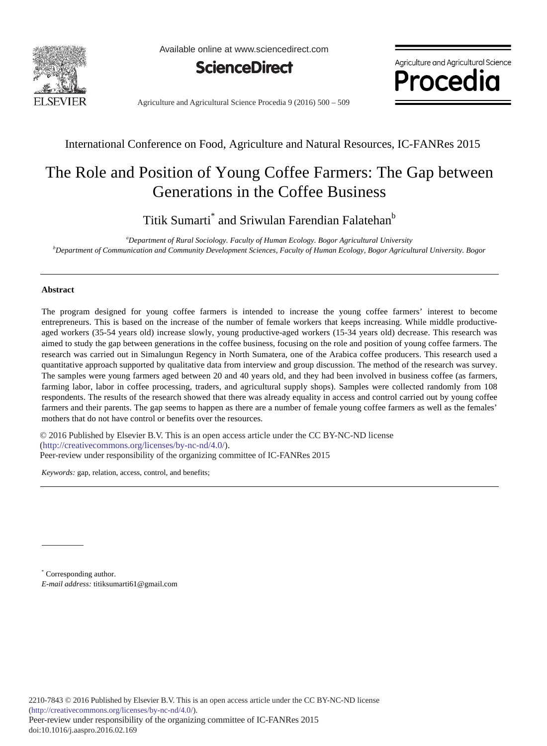

Available online at www.sciencedirect.com



Agriculture and Agricultural Science Procedia

Agriculture and Agricultural Science Procedia 9 (2016) 500 - 509

# International Conference on Food, Agriculture and Natural Resources, IC-FANRes 2015

# The Role and Position of Young Coffee Farmers: The Gap between Generations in the Coffee Business

Titik Sumarti<sup>\*</sup> and Sriwulan Farendian Falatehan<sup>b</sup>

<sup>a</sup> Department of Rural Sociology. Faculty of Human Ecology. Bogor Agricultural University<br><sup>b</sup> Department of Communication and Community Development Sciences, Faculty of Human Ecology. Bogor Agricult *Department of Communication and Community Development Sciences, Faculty of Human Ecology, Bogor Agricultural University. Bogor* 

# **Abstract**

The program designed for young coffee farmers is intended to increase the young coffee farmers' interest to become entrepreneurs. This is based on the increase of the number of female workers that keeps increasing. While middle productiveaged workers (35-54 years old) increase slowly, young productive-aged workers (15-34 years old) decrease. This research was aimed to study the gap between generations in the coffee business, focusing on the role and position of young coffee farmers. The research was carried out in Simalungun Regency in North Sumatera, one of the Arabica coffee producers. This research used a quantitative approach supported by qualitative data from interview and group discussion. The method of the research was survey. The samples were young farmers aged between 20 and 40 years old, and they had been involved in business coffee (as farmers, farming labor, labor in coffee processing, traders, and agricultural supply shops). Samples were collected randomly from 108 respondents. The results of the research showed that there was already equality in access and control carried out by young coffee farmers and their parents. The gap seems to happen as there are a number of female young coffee farmers as well as the females' mothers that do not have control or benefits over the resources.

© 2015 The Authors. Published by Elsevier B.V. (http://creativecommons.org/licenses/by-nc-nd/4.0/). Peer-review under responsibility of the organizing committee of IC-FANRes 2015. Peer-review under responsibility of the organizing committee of IC-FANRes 2015© 2016 Published by Elsevier B.V. This is an open access article under the CC BY-NC-ND license

*Keywords:* gap, relation, access, control, and benefits;

\* Corresponding author. *E-mail address:* titiksumarti61@gmail.com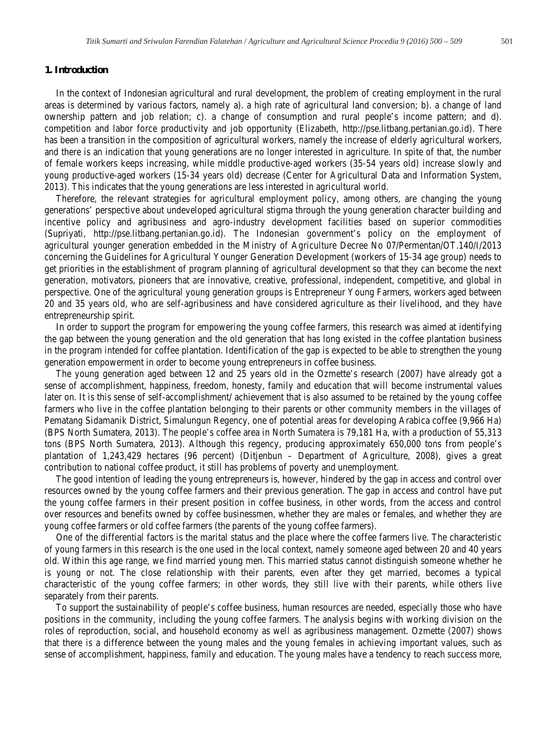# **1. Introduction**

In the context of Indonesian agricultural and rural development, the problem of creating employment in the rural areas is determined by various factors, namely a). a high rate of agricultural land conversion; b). a change of land ownership pattern and job relation; c). a change of consumption and rural people's income pattern; and d). competition and labor force productivity and job opportunity (Elizabeth, http://pse.litbang.pertanian.go.id). There has been a transition in the composition of agricultural workers, namely the increase of elderly agricultural workers, and there is an indication that young generations are no longer interested in agriculture. In spite of that, the number of female workers keeps increasing, while middle productive-aged workers (35-54 years old) increase slowly and young productive-aged workers (15-34 years old) decrease (Center for Agricultural Data and Information System, 2013). This indicates that the young generations are less interested in agricultural world.

Therefore, the relevant strategies for agricultural employment policy, among others, are changing the young generations' perspective about undeveloped agricultural stigma through the young generation character building and incentive policy and agribusiness and agro-industry development facilities based on superior commodities (Supriyati, http://pse.litbang.pertanian.go.id). The Indonesian government's policy on the employment of agricultural younger generation embedded in the Ministry of Agriculture Decree No 07/Permentan/OT.140/I/2013 concerning the Guidelines for Agricultural Younger Generation Development (workers of 15-34 age group) needs to get priorities in the establishment of program planning of agricultural development so that they can become the next generation, motivators, pioneers that are innovative, creative, professional, independent, competitive, and global in perspective. One of the agricultural young generation groups is Entrepreneur Young Farmers, workers aged between 20 and 35 years old, who are self-agribusiness and have considered agriculture as their livelihood, and they have entrepreneurship spirit.

In order to support the program for empowering the young coffee farmers, this research was aimed at identifying the gap between the young generation and the old generation that has long existed in the coffee plantation business in the program intended for coffee plantation. Identification of the gap is expected to be able to strengthen the young generation empowerment in order to become young entrepreneurs in coffee business.

The young generation aged between 12 and 25 years old in the Ozmette's research (2007) have already got a sense of accomplishment, happiness, freedom, honesty, family and education that will become instrumental values later on. It is this sense of self-accomplishment/ achievement that is also assumed to be retained by the young coffee farmers who live in the coffee plantation belonging to their parents or other community members in the villages of Pematang Sidamanik District, Simalungun Regency, one of potential areas for developing Arabica coffee (9,966 Ha) (BPS North Sumatera, 2013). The people's coffee area in North Sumatera is 79,181 Ha, with a production of 55,313 tons (BPS North Sumatera, 2013). Although this regency, producing approximately 650,000 tons from people's plantation of 1,243,429 hectares (96 percent) (Ditjenbun – Department of Agriculture, 2008), gives a great contribution to national coffee product, it still has problems of poverty and unemployment.

The good intention of leading the young entrepreneurs is, however, hindered by the gap in access and control over resources owned by the young coffee farmers and their previous generation. The gap in access and control have put the young coffee farmers in their present position in coffee business, in other words, from the access and control over resources and benefits owned by coffee businessmen, whether they are males or females, and whether they are young coffee farmers or old coffee farmers (the parents of the young coffee farmers).

One of the differential factors is the marital status and the place where the coffee farmers live. The characteristic of young farmers in this research is the one used in the local context, namely someone aged between 20 and 40 years old. Within this age range, we find married young men. This married status cannot distinguish someone whether he is young or not. The close relationship with their parents, even after they get married, becomes a typical characteristic of the young coffee farmers; in other words, they still live with their parents, while others live separately from their parents.

To support the sustainability of people's coffee business, human resources are needed, especially those who have positions in the community, including the young coffee farmers. The analysis begins with working division on the roles of reproduction, social, and household economy as well as agribusiness management. Ozmette (2007) shows that there is a difference between the young males and the young females in achieving important values, such as sense of accomplishment, happiness, family and education. The young males have a tendency to reach success more,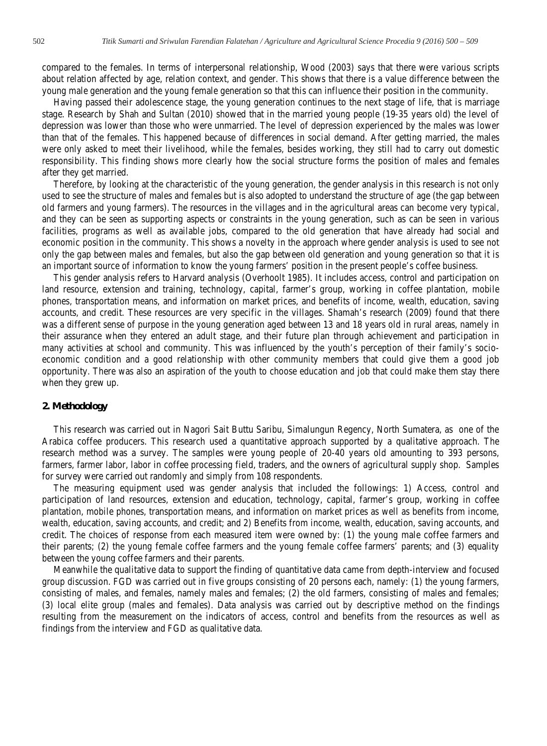compared to the females. In terms of interpersonal relationship, Wood (2003) says that there were various scripts about relation affected by age, relation context, and gender. This shows that there is a value difference between the young male generation and the young female generation so that this can influence their position in the community.

Having passed their adolescence stage, the young generation continues to the next stage of life, that is marriage stage. Research by Shah and Sultan (2010) showed that in the married young people (19-35 years old) the level of depression was lower than those who were unmarried. The level of depression experienced by the males was lower than that of the females. This happened because of differences in social demand. After getting married, the males were only asked to meet their livelihood, while the females, besides working, they still had to carry out domestic responsibility. This finding shows more clearly how the social structure forms the position of males and females after they get married.

Therefore, by looking at the characteristic of the young generation, the gender analysis in this research is not only used to see the structure of males and females but is also adopted to understand the structure of age (the gap between old farmers and young farmers). The resources in the villages and in the agricultural areas can become very typical, and they can be seen as supporting aspects or constraints in the young generation, such as can be seen in various facilities, programs as well as available jobs, compared to the old generation that have already had social and economic position in the community. This shows a novelty in the approach where gender analysis is used to see not only the gap between males and females, but also the gap between old generation and young generation so that it is an important source of information to know the young farmers' position in the present people's coffee business.

This gender analysis refers to Harvard analysis (Overhoolt 1985). It includes access, control and participation on land resource, extension and training, technology, capital, farmer's group, working in coffee plantation, mobile phones, transportation means, and information on market prices, and benefits of income, wealth, education, saving accounts, and credit. These resources are very specific in the villages. Shamah's research (2009) found that there was a different sense of purpose in the young generation aged between 13 and 18 years old in rural areas, namely in their assurance when they entered an adult stage, and their future plan through achievement and participation in many activities at school and community. This was influenced by the youth's perception of their family's socioeconomic condition and a good relationship with other community members that could give them a good job opportunity. There was also an aspiration of the youth to choose education and job that could make them stay there when they grew up.

#### **2. Methodology**

This research was carried out in Nagori Sait Buttu Saribu, Simalungun Regency, North Sumatera, as one of the Arabica coffee producers. This research used a quantitative approach supported by a qualitative approach. The research method was a survey. The samples were young people of 20-40 years old amounting to 393 persons, farmers, farmer labor, labor in coffee processing field, traders, and the owners of agricultural supply shop. Samples for survey were carried out randomly and simply from 108 respondents.

The measuring equipment used was gender analysis that included the followings: 1) Access, control and participation of land resources, extension and education, technology, capital, farmer's group, working in coffee plantation, mobile phones, transportation means, and information on market prices as well as benefits from income, wealth, education, saving accounts, and credit; and 2) Benefits from income, wealth, education, saving accounts, and credit. The choices of response from each measured item were owned by: (1) the young male coffee farmers and their parents; (2) the young female coffee farmers and the young female coffee farmers' parents; and (3) equality between the young coffee farmers and their parents.

Meanwhile the qualitative data to support the finding of quantitative data came from depth-interview and focused group discussion. FGD was carried out in five groups consisting of 20 persons each, namely: (1) the young farmers, consisting of males, and females, namely males and females; (2) the old farmers, consisting of males and females; (3) local elite group (males and females). Data analysis was carried out by descriptive method on the findings resulting from the measurement on the indicators of access, control and benefits from the resources as well as findings from the interview and FGD as qualitative data.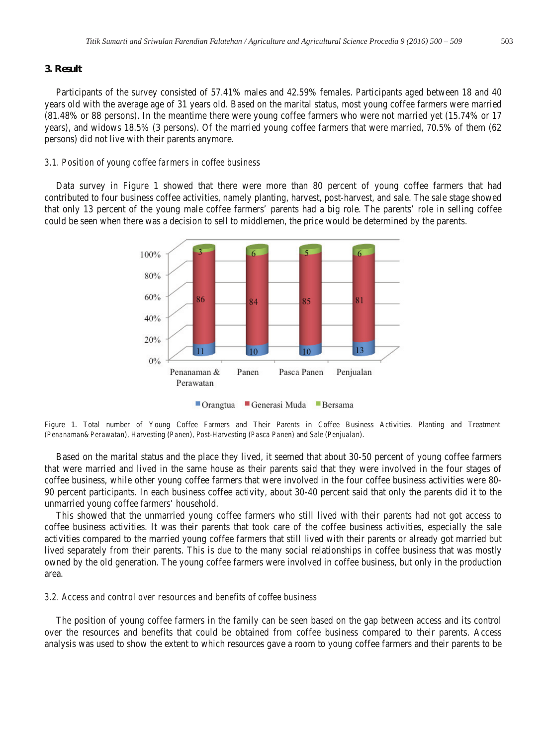### **3. Result**

Participants of the survey consisted of 57.41% males and 42.59% females. Participants aged between 18 and 40 years old with the average age of 31 years old. Based on the marital status, most young coffee farmers were married (81.48% or 88 persons). In the meantime there were young coffee farmers who were not married yet (15.74% or 17 years), and widows 18.5% (3 persons). Of the married young coffee farmers that were married, 70.5% of them (62 persons) did not live with their parents anymore.

#### *3.1. Position of young coffee farmers in coffee business*

Data survey in Figure 1 showed that there were more than 80 percent of young coffee farmers that had contributed to four business coffee activities, namely planting, harvest, post-harvest, and sale. The sale stage showed that only 13 percent of the young male coffee farmers' parents had a big role. The parents' role in selling coffee could be seen when there was a decision to sell to middlemen, the price would be determined by the parents.



■ Orangtua ■ Generasi Muda ■ Bersama

Figure 1. Total number of Young Coffee Farmers and Their Parents in Coffee Business Activities. Planting and Treatment (*Penanaman&Perawatan*), Harvesting (*Panen*), Post-Harvesting (*Pasca Panen*) and Sale (*Penjualan*).

Based on the marital status and the place they lived, it seemed that about 30-50 percent of young coffee farmers that were married and lived in the same house as their parents said that they were involved in the four stages of coffee business, while other young coffee farmers that were involved in the four coffee business activities were 80- 90 percent participants. In each business coffee activity, about 30-40 percent said that only the parents did it to the unmarried young coffee farmers' household.

This showed that the unmarried young coffee farmers who still lived with their parents had not got access to coffee business activities. It was their parents that took care of the coffee business activities, especially the sale activities compared to the married young coffee farmers that still lived with their parents or already got married but lived separately from their parents. This is due to the many social relationships in coffee business that was mostly owned by the old generation. The young coffee farmers were involved in coffee business, but only in the production area.

# *3.2. Access and control over resources and benefits of coffee business*

The position of young coffee farmers in the family can be seen based on the gap between access and its control over the resources and benefits that could be obtained from coffee business compared to their parents. Access analysis was used to show the extent to which resources gave a room to young coffee farmers and their parents to be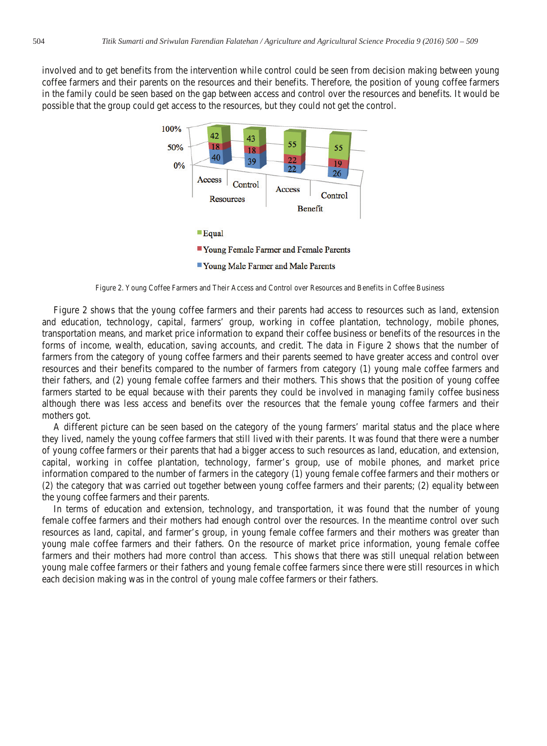involved and to get benefits from the intervention while control could be seen from decision making between young coffee farmers and their parents on the resources and their benefits. Therefore, the position of young coffee farmers in the family could be seen based on the gap between access and control over the resources and benefits. It would be possible that the group could get access to the resources, but they could not get the control.



Figure 2. Young Coffee Farmers and Their Access and Control over Resources and Benefits in Coffee Business

Figure 2 shows that the young coffee farmers and their parents had access to resources such as land, extension and education, technology, capital, farmers' group, working in coffee plantation, technology, mobile phones, transportation means, and market price information to expand their coffee business or benefits of the resources in the forms of income, wealth, education, saving accounts, and credit. The data in Figure 2 shows that the number of farmers from the category of young coffee farmers and their parents seemed to have greater access and control over resources and their benefits compared to the number of farmers from category (1) young male coffee farmers and their fathers, and (2) young female coffee farmers and their mothers. This shows that the position of young coffee farmers started to be equal because with their parents they could be involved in managing family coffee business although there was less access and benefits over the resources that the female young coffee farmers and their mothers got.

A different picture can be seen based on the category of the young farmers' marital status and the place where they lived, namely the young coffee farmers that still lived with their parents. It was found that there were a number of young coffee farmers or their parents that had a bigger access to such resources as land, education, and extension, capital, working in coffee plantation, technology, farmer's group, use of mobile phones, and market price information compared to the number of farmers in the category (1) young female coffee farmers and their mothers or (2) the category that was carried out together between young coffee farmers and their parents; (2) equality between the young coffee farmers and their parents.

In terms of education and extension, technology, and transportation, it was found that the number of young female coffee farmers and their mothers had enough control over the resources. In the meantime control over such resources as land, capital, and farmer's group, in young female coffee farmers and their mothers was greater than young male coffee farmers and their fathers. On the resource of market price information, young female coffee farmers and their mothers had more control than access. This shows that there was still unequal relation between young male coffee farmers or their fathers and young female coffee farmers since there were still resources in which each decision making was in the control of young male coffee farmers or their fathers.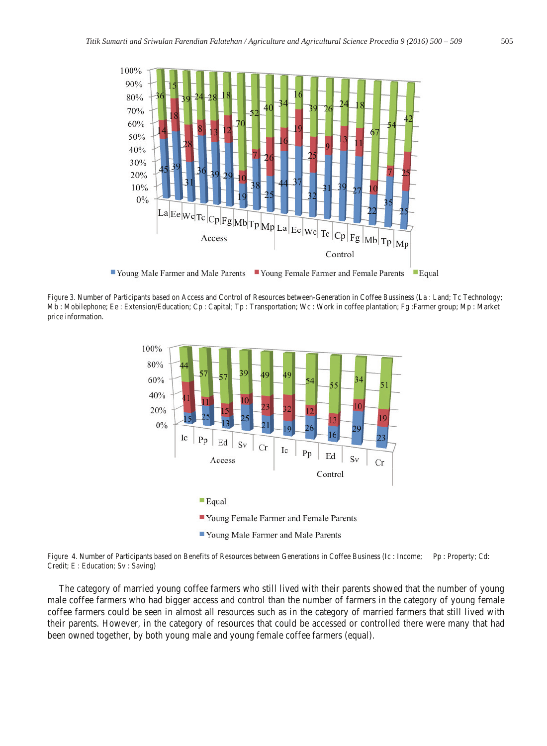

**Example 1** Young Male Farmer and Male Parents **Example Parmer and Farmer and Female Parents Equal** 

Figure 3. Number of Participants based on Access and Control of Resources between-Generation in Coffee Bussiness (La : Land; Tc Technology; Mb : Mobilephone; Ee : Extension/Education; Cp : Capital; Tp : Transportation; Wc : Work in coffee plantation; Fg :Farmer group; Mp : Market price information.



Figure 4. Number of Participants based on Benefits of Resources between Generations in Coffee Business (Ic : Income; Pp : Property; Cd: Credit; E : Education; Sv : Saving)

The category of married young coffee farmers who still lived with their parents showed that the number of young male coffee farmers who had bigger access and control than the number of farmers in the category of young female coffee farmers could be seen in almost all resources such as in the category of married farmers that still lived with their parents. However, in the category of resources that could be accessed or controlled there were many that had been owned together, by both young male and young female coffee farmers (equal).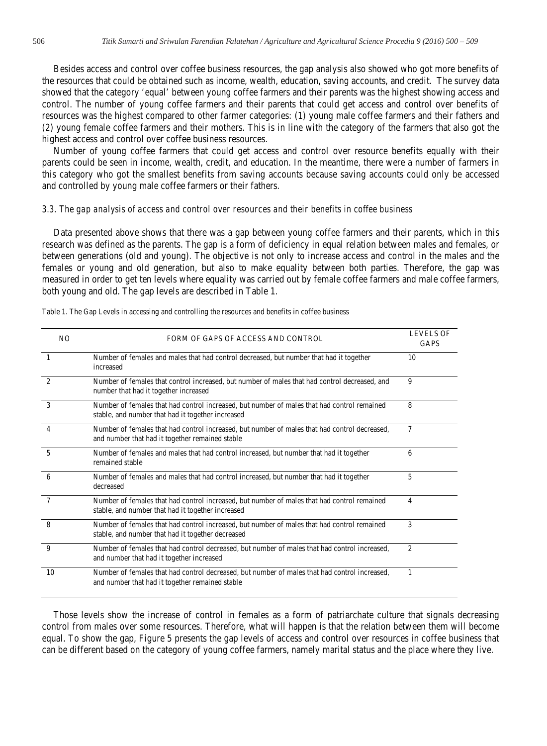Besides access and control over coffee business resources, the gap analysis also showed who got more benefits of the resources that could be obtained such as income, wealth, education, saving accounts, and credit. The survey data showed that the category 'equal' between young coffee farmers and their parents was the highest showing access and control. The number of young coffee farmers and their parents that could get access and control over benefits of resources was the highest compared to other farmer categories: (1) young male coffee farmers and their fathers and (2) young female coffee farmers and their mothers. This is in line with the category of the farmers that also got the highest access and control over coffee business resources.

Number of young coffee farmers that could get access and control over resource benefits equally with their parents could be seen in income, wealth, credit, and education. In the meantime, there were a number of farmers in this category who got the smallest benefits from saving accounts because saving accounts could only be accessed and controlled by young male coffee farmers or their fathers.

#### *3.3. The gap analysis of access and control over resources and their benefits in coffee business*

Data presented above shows that there was a gap between young coffee farmers and their parents, which in this research was defined as the parents. The gap is a form of deficiency in equal relation between males and females, or between generations (old and young). The objective is not only to increase access and control in the males and the females or young and old generation, but also to make equality between both parties. Therefore, the gap was measured in order to get ten levels where equality was carried out by female coffee farmers and male coffee farmers, both young and old. The gap levels are described in Table 1.

| NO.                    | FORM OF GAPS OF ACCESS AND CONTROL                                                                                                               | <b>LEVELS OF</b><br>GAPS |
|------------------------|--------------------------------------------------------------------------------------------------------------------------------------------------|--------------------------|
| 1                      | Number of females and males that had control decreased, but number that had it together<br>increased                                             | 10                       |
| $\mathcal{D}_{\alpha}$ | Number of females that control increased, but number of males that had control decreased, and<br>number that had it together increased           | 9                        |
| 3                      | Number of females that had control increased, but number of males that had control remained<br>stable, and number that had it together increased | 8                        |
| $\overline{4}$         | Number of females that had control increased, but number of males that had control decreased,<br>and number that had it together remained stable | 7                        |
| $\overline{5}$         | Number of females and males that had control increased, but number that had it together<br>remained stable                                       | 6                        |
| 6                      | Number of females and males that had control increased, but number that had it together<br>decreased                                             | 5                        |
| $7\phantom{.0}$        | Number of females that had control increased, but number of males that had control remained<br>stable, and number that had it together increased | $\overline{4}$           |
| 8                      | Number of females that had control increased, but number of males that had control remained<br>stable, and number that had it together decreased | 3                        |
| 9                      | Number of females that had control decreased, but number of males that had control increased,<br>and number that had it together increased       | $\overline{c}$           |
| 10                     | Number of females that had control decreased, but number of males that had control increased,<br>and number that had it together remained stable | 1                        |

Table 1. The Gap Levels in accessing and controlling the resources and benefits in coffee business

Those levels show the increase of control in females as a form of patriarchate culture that signals decreasing control from males over some resources. Therefore, what will happen is that the relation between them will become equal. To show the gap, Figure 5 presents the gap levels of access and control over resources in coffee business that can be different based on the category of young coffee farmers, namely marital status and the place where they live.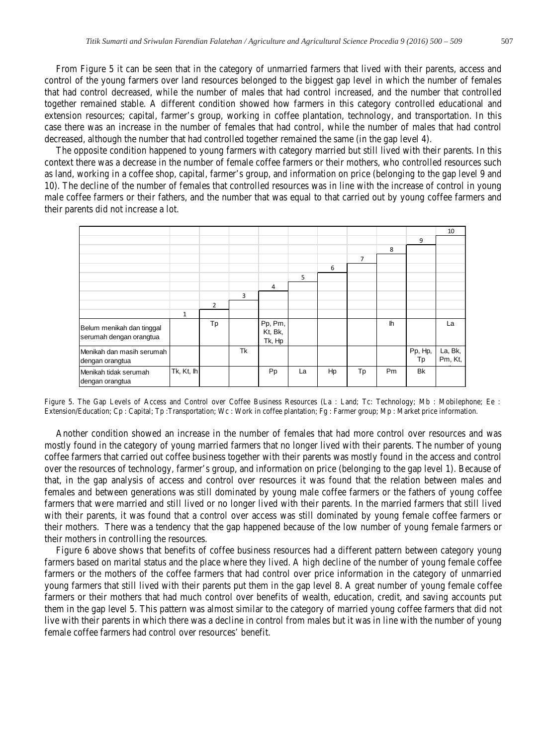From Figure 5 it can be seen that in the category of unmarried farmers that lived with their parents, access and control of the young farmers over land resources belonged to the biggest gap level in which the number of females that had control decreased, while the number of males that had control increased, and the number that controlled together remained stable. A different condition showed how farmers in this category controlled educational and extension resources; capital, farmer's group, working in coffee plantation, technology, and transportation. In this case there was an increase in the number of females that had control, while the number of males that had control decreased, although the number that had controlled together remained the same (in the gap level 4).

The opposite condition happened to young farmers with category married but still lived with their parents. In this context there was a decrease in the number of female coffee farmers or their mothers, who controlled resources such as land, working in a coffee shop, capital, farmer's group, and information on price (belonging to the gap level 9 and 10). The decline of the number of females that controlled resources was in line with the increase of control in young male coffee farmers or their fathers, and the number that was equal to that carried out by young coffee farmers and their parents did not increase a lot.

|                                                      |            |                |    |                              |    |    |                |              |               | 10                 |
|------------------------------------------------------|------------|----------------|----|------------------------------|----|----|----------------|--------------|---------------|--------------------|
|                                                      |            |                |    |                              |    |    |                |              | 9             |                    |
|                                                      |            |                |    |                              |    |    |                | 8            |               |                    |
|                                                      |            |                |    |                              |    |    | $\overline{7}$ |              |               |                    |
|                                                      |            |                |    |                              |    | 6  |                |              |               |                    |
|                                                      |            |                |    |                              | 5  |    |                |              |               |                    |
|                                                      |            |                |    | $\overline{4}$               |    |    |                |              |               |                    |
|                                                      |            |                | 3  |                              |    |    |                |              |               |                    |
|                                                      |            | $\overline{2}$ |    |                              |    |    |                |              |               |                    |
|                                                      | 1          |                |    |                              |    |    |                |              |               |                    |
| Belum menikah dan tinggal<br>serumah dengan orangtua |            | Tp             |    | Pp, Pm,<br>Kt, Bk,<br>Tk, Hp |    |    |                | $\mathsf{I}$ |               | La                 |
| Menikah dan masih serumah<br>dengan orangtua         |            |                | Tk |                              |    |    |                |              | Pp, Hp,<br>Тp | La, Bk,<br>Pm, Kt, |
| Menikah tidak serumah<br>dengan orangtua             | Tk, Kt, Ih |                |    | Pp                           | La | Hp | Tp             | Pm           | <b>Bk</b>     |                    |

Figure 5. The Gap Levels of Access and Control over Coffee Business Resources (La : Land; Tc: Technology; Mb : Mobilephone; Ee : Extension/Education; Cp : Capital; Tp :Transportation; Wc : Work in coffee plantation; Fg : Farmer group; Mp : Market price information.

Another condition showed an increase in the number of females that had more control over resources and was mostly found in the category of young married farmers that no longer lived with their parents. The number of young coffee farmers that carried out coffee business together with their parents was mostly found in the access and control over the resources of technology, farmer's group, and information on price (belonging to the gap level 1). Because of that, in the gap analysis of access and control over resources it was found that the relation between males and females and between generations was still dominated by young male coffee farmers or the fathers of young coffee farmers that were married and still lived or no longer lived with their parents. In the married farmers that still lived with their parents, it was found that a control over access was still dominated by young female coffee farmers or their mothers. There was a tendency that the gap happened because of the low number of young female farmers or their mothers in controlling the resources.

Figure 6 above shows that benefits of coffee business resources had a different pattern between category young farmers based on marital status and the place where they lived. A high decline of the number of young female coffee farmers or the mothers of the coffee farmers that had control over price information in the category of unmarried young farmers that still lived with their parents put them in the gap level 8. A great number of young female coffee farmers or their mothers that had much control over benefits of wealth, education, credit, and saving accounts put them in the gap level 5. This pattern was almost similar to the category of married young coffee farmers that did not live with their parents in which there was a decline in control from males but it was in line with the number of young female coffee farmers had control over resources' benefit.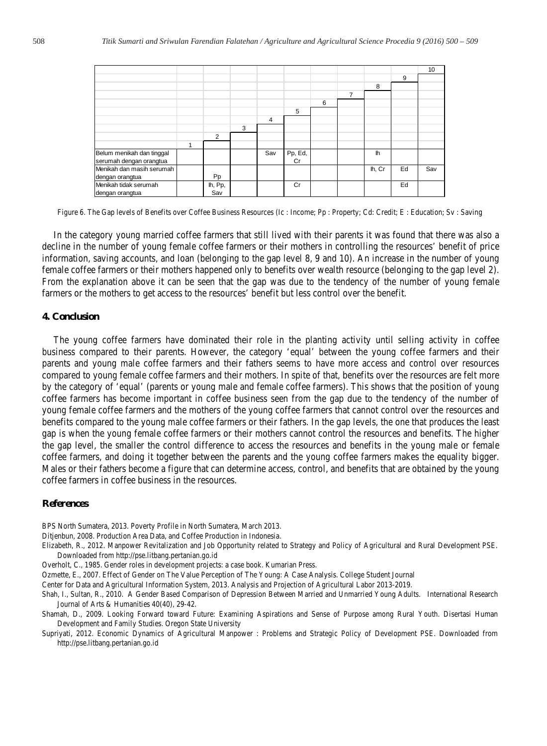|                           |   |                |   |                |         |   |   |              |    | 10  |
|---------------------------|---|----------------|---|----------------|---------|---|---|--------------|----|-----|
|                           |   |                |   |                |         |   |   |              | 9  |     |
|                           |   |                |   |                |         |   |   | 8            |    |     |
|                           |   |                |   |                |         |   | 7 |              |    |     |
|                           |   |                |   |                |         | 6 |   |              |    |     |
|                           |   |                |   |                | 5       |   |   |              |    |     |
|                           |   |                |   | $\overline{4}$ |         |   |   |              |    |     |
|                           |   |                | 3 |                |         |   |   |              |    |     |
|                           |   | $\overline{2}$ |   |                |         |   |   |              |    |     |
|                           | 1 |                |   |                |         |   |   |              |    |     |
| Belum menikah dan tinggal |   |                |   | Sav            | Pp, Ed, |   |   | $\mathbb{I}$ |    |     |
| serumah dengan orangtua   |   |                |   |                | Cr      |   |   |              |    |     |
| Menikah dan masih serumah |   |                |   |                |         |   |   | lh, Cr       | Ed | Sav |
| dengan orangtua           |   | Pp             |   |                |         |   |   |              |    |     |
| Menikah tidak serumah     |   | lh, Pp,        |   |                | Cr      |   |   |              | Ed |     |
| dengan orangtua           |   | Sav            |   |                |         |   |   |              |    |     |

Figure 6. The Gap levels of Benefits over Coffee Business Resources (Ic : Income; Pp : Property; Cd: Credit; E : Education; Sv : Saving

In the category young married coffee farmers that still lived with their parents it was found that there was also a decline in the number of young female coffee farmers or their mothers in controlling the resources' benefit of price information, saving accounts, and loan (belonging to the gap level 8, 9 and 10). An increase in the number of young female coffee farmers or their mothers happened only to benefits over wealth resource (belonging to the gap level 2). From the explanation above it can be seen that the gap was due to the tendency of the number of young female farmers or the mothers to get access to the resources' benefit but less control over the benefit.

# **4. Conclusion**

The young coffee farmers have dominated their role in the planting activity until selling activity in coffee business compared to their parents. However, the category 'equal' between the young coffee farmers and their parents and young male coffee farmers and their fathers seems to have more access and control over resources compared to young female coffee farmers and their mothers. In spite of that, benefits over the resources are felt more by the category of 'equal' (parents or young male and female coffee farmers). This shows that the position of young coffee farmers has become important in coffee business seen from the gap due to the tendency of the number of young female coffee farmers and the mothers of the young coffee farmers that cannot control over the resources and benefits compared to the young male coffee farmers or their fathers. In the gap levels, the one that produces the least gap is when the young female coffee farmers or their mothers cannot control the resources and benefits. The higher the gap level, the smaller the control difference to access the resources and benefits in the young male or female coffee farmers, and doing it together between the parents and the young coffee farmers makes the equality bigger. Males or their fathers become a figure that can determine access, control, and benefits that are obtained by the young coffee farmers in coffee business in the resources.

#### **References**

BPS North Sumatera, 2013. Poverty Profile in North Sumatera, March 2013.

Ditjenbun, 2008. Production Area Data, and Coffee Production in Indonesia.

- Elizabeth, R., 2012. Manpower Revitalization and Job Opportunity related to Strategy and Policy of Agricultural and Rural Development PSE. Downloaded from http://pse.litbang.pertanian.go.id
- Overholt, C., 1985. Gender roles in development projects: a case book. Kumarian Press.
- Ozmette, E., 2007. Effect of Gender on The Value Perception of The Young: A Case Analysis. College Student Journal

Center for Data and Agricultural Information System, 2013. Analysis and Projection of Agricultural Labor 2013-2019.

Shah, I., Sultan, R., 2010. A Gender Based Comparison of Depression Between Married and Unmarried Young Adults. International Research Journal of Arts & Humanities 40(40), 29-42.

Shamah, D., 2009. Looking Forward toward Future: Examining Aspirations and Sense of Purpose among Rural Youth. Disertasi Human Development and Family Studies. Oregon State University

Supriyati, 2012. Economic Dynamics of Agricultural Manpower : Problems and Strategic Policy of Development PSE. Downloaded from http://pse.litbang.pertanian.go.id